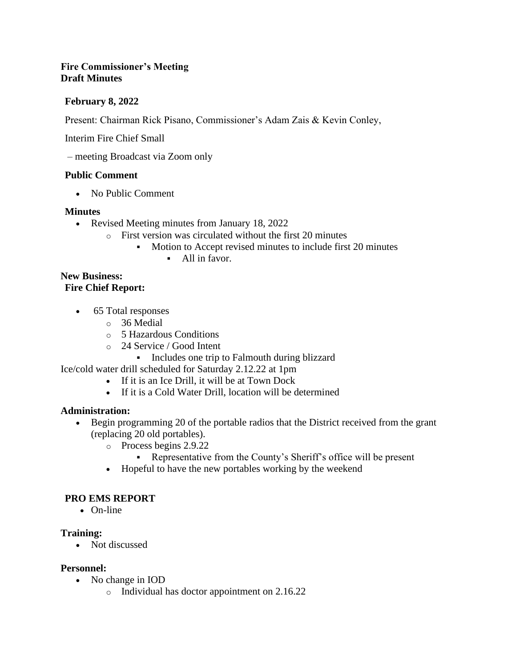#### **Fire Commissioner's Meeting Draft Minutes**

#### **February 8, 2022**

Present: Chairman Rick Pisano, Commissioner's Adam Zais & Kevin Conley,

Interim Fire Chief Small

– meeting Broadcast via Zoom only

#### **Public Comment**

• No Public Comment

#### **Minutes**

- Revised Meeting minutes from January 18, 2022
	- o First version was circulated without the first 20 minutes
		- Motion to Accept revised minutes to include first 20 minutes
			- All in favor.

# **New Business:**

# **Fire Chief Report:**

- 65 Total responses
	- o 36 Medial
	- o 5 Hazardous Conditions
	- o 24 Service / Good Intent
		- Includes one trip to Falmouth during blizzard

Ice/cold water drill scheduled for Saturday 2.12.22 at 1pm

- If it is an Ice Drill, it will be at Town Dock
- If it is a Cold Water Drill, location will be determined

#### **Administration:**

- Begin programming 20 of the portable radios that the District received from the grant (replacing 20 old portables).
	- o Process begins 2.9.22
		- Representative from the County's Sheriff's office will be present
	- Hopeful to have the new portables working by the weekend

#### **PRO EMS REPORT**

• On-line

#### **Training:**

• Not discussed

#### **Personnel:**

- No change in IOD
	- o Individual has doctor appointment on 2.16.22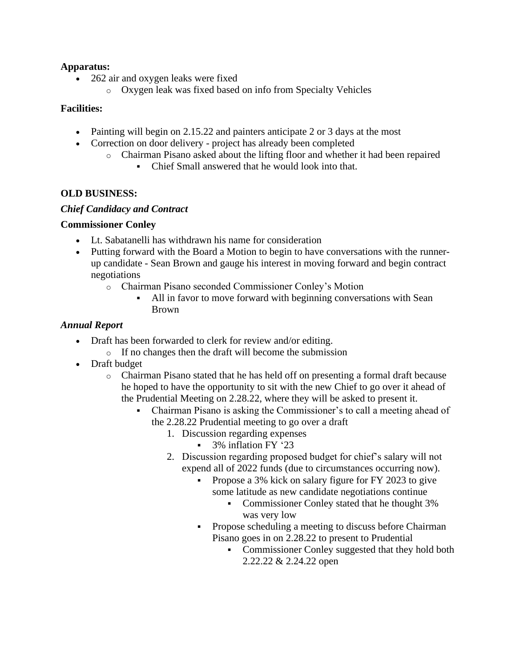#### **Apparatus:**

- 262 air and oxygen leaks were fixed
	- o Oxygen leak was fixed based on info from Specialty Vehicles

#### **Facilities:**

- Painting will begin on 2.15.22 and painters anticipate 2 or 3 days at the most
- Correction on door delivery project has already been completed
	- o Chairman Pisano asked about the lifting floor and whether it had been repaired
		- Chief Small answered that he would look into that.

#### **OLD BUSINESS:**

#### *Chief Candidacy and Contract*

#### **Commissioner Conley**

- Lt. Sabatanelli has withdrawn his name for consideration
- Putting forward with the Board a Motion to begin to have conversations with the runnerup candidate - Sean Brown and gauge his interest in moving forward and begin contract negotiations
	- o Chairman Pisano seconded Commissioner Conley's Motion
		- All in favor to move forward with beginning conversations with Sean Brown

#### *Annual Report*

- Draft has been forwarded to clerk for review and/or editing.
	- o If no changes then the draft will become the submission
- Draft budget
	- o Chairman Pisano stated that he has held off on presenting a formal draft because he hoped to have the opportunity to sit with the new Chief to go over it ahead of the Prudential Meeting on 2.28.22, where they will be asked to present it.
		- Chairman Pisano is asking the Commissioner's to call a meeting ahead of the 2.28.22 Prudential meeting to go over a draft
			- 1. Discussion regarding expenses
				- 3% inflation FY '23
			- 2. Discussion regarding proposed budget for chief's salary will not expend all of 2022 funds (due to circumstances occurring now).
				- Propose a 3% kick on salary figure for FY 2023 to give some latitude as new candidate negotiations continue
					- Commissioner Conley stated that he thought 3% was very low
				- Propose scheduling a meeting to discuss before Chairman Pisano goes in on 2.28.22 to present to Prudential
					- Commissioner Conley suggested that they hold both 2.22.22 & 2.24.22 open